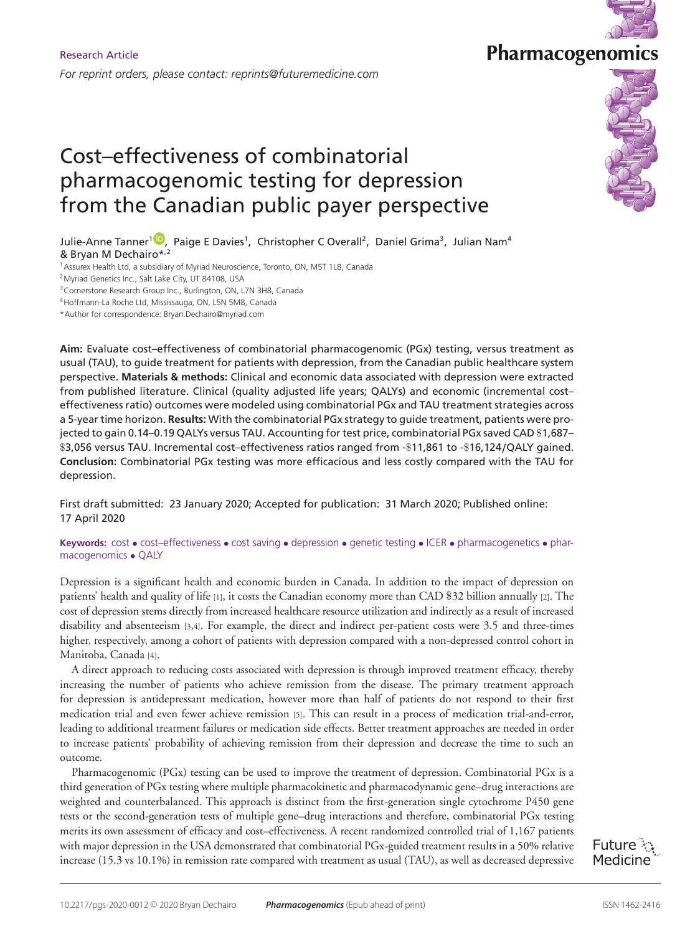# Cost–effectiveness of combinatorial pharmacogenomic testing for depression from the Canadian public payer perspective

Julie-Anne Tanner<sup>1 D</sup>, Paige E Davies<sup>1</sup>, Christopher C Overall<sup>2</sup>, Daniel Grima<sup>3</sup>, Julian Nam<sup>4</sup> & Bryan M Dechai[ro\\*,](https://orcid.org/0000-0003-3460-9618)2

<sup>1</sup> Assurex Health Ltd, a subsidiary of Myriad Neuroscience, Toronto, ON, M5T 1L8, Canada

2Myriad Genetics Inc., Salt Lake City, UT 84108, USA

3Cornerstone Research Group Inc., Burlington, ON, L7N 3H8, Canada

4Hoffmann-La Roche Ltd, Mississauga, ON, L5N 5M8, Canada

\*Author for correspondence: Bryan.Dechairo@myriad.com

**Aim:** Evaluate cost–effectiveness of combinatorial pharmacogenomic (PGx) testing, versus treatment as usual (TAU), to guide treatment for patients with depression, from the Canadian public healthcare system perspective. **Materials & methods:** Clinical and economic data associated with depression were extracted from published literature. Clinical (quality adjusted life years; QALYs) and economic (incremental cost– effectiveness ratio) outcomes were modeled using combinatorial PGx and TAU treatment strategies across a 5-year time horizon. **Results:** With the combinatorial PGx strategy to guide treatment, patients were projected to gain 0.14–0.19 QALYs versus TAU. Accounting for test price, combinatorial PGx saved CAD \$1,687– \$3,056 versus TAU. Incremental cost–effectiveness ratios ranged from -\$11,861 to -\$16,124**/**QALY gained. **Conclusion:** Combinatorial PGx testing was more efficacious and less costly compared with the TAU for depression.

First draft submitted: 23 January 2020; Accepted for publication: 31 March 2020; Published online: 17 April 2020

**Keywords:** cost • cost–effectiveness • cost saving • depression • genetic testing • ICER • pharmacogenetics • pharmacogenomics • QALY

Depression is a significant health and economic burden in Canada. In addition to the impact of depression on patients' health and quality of life [1], it costs the Canadian economy more than CAD \$32 billion annually [2]. The cost of depression stems directly from increased healthcare resource utilization and indirectly as a result of increased disability and absenteeism [3,4]. For example, the direct and indirect per-patient costs were 3.5 and three-times higher, respectively, among a cohort of patients with depression compared with a non-depressed control cohort in Manitoba, Canada [4].

A direct approach to reducing costs associated with depression is through improved treatment efficacy, thereby increasing the number of patients who achieve remission from the disease. The primary treatment approach for depression is antidepressant medication, however more than half of patients do not respond to their first medication trial and even fewer achieve remission [5]. This can result in a process of medication trial-and-error, leading to additional treatment failures or medication side effects. Better treatment approaches are needed in order to increase patients' probability of achieving remission from their depression and decrease the time to such an outcome.

Pharmacogenomic (PGx) testing can be used to improve the treatment of depression. Combinatorial PGx is a third generation of PGx testing where multiple pharmacokinetic and pharmacodynamic gene–drug interactions are weighted and counterbalanced. This approach is distinct from the first-generation single cytochrome P450 gene tests or the second-generation tests of multiple gene–drug interactions and therefore, combinatorial PGx testing merits its own assessment of efficacy and cost–effectiveness. A recent randomized controlled trial of 1,167 patients with major depression in the USA demonstrated that combinatorial PGx-guided treatment results in a 50% relative increase (15.3 vs 10.1%) in remission rate compared with treatment as usual (TAU), as well as decreased depressive

Future  $\ddot{\ddot{\phantom{z}}}$ : Medicine



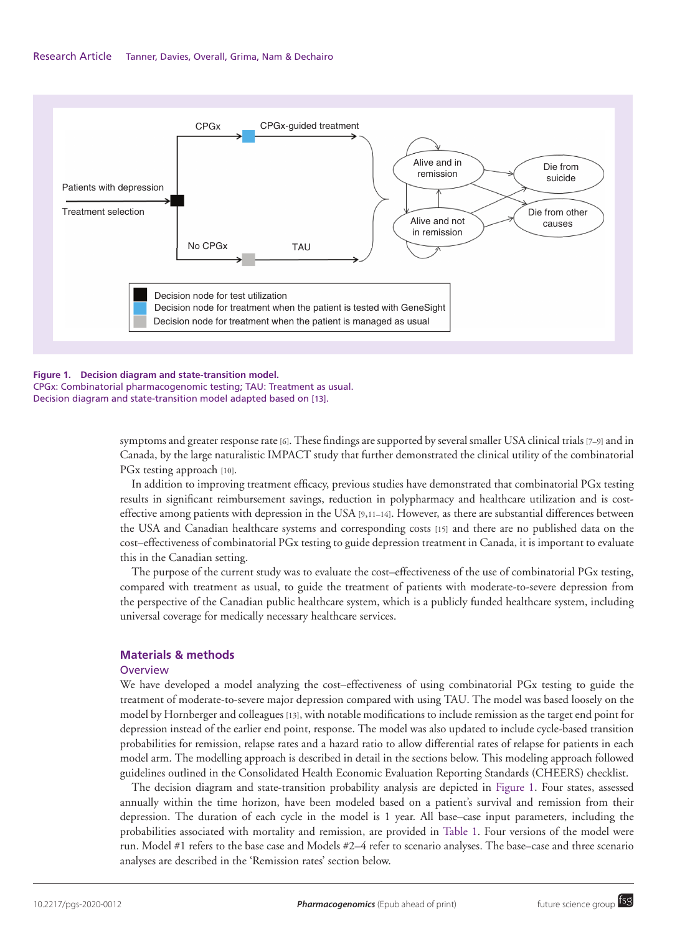

#### **Figure 1. Decision diagram and state-transition model.** CPGx: Combinatorial pharmacogenomic testing; TAU: Treatment as usual. Decision diagram and state-transition model adapted based on [13].

symptoms and greater response rate [6]. These findings are supported by several smaller USA clinical trials [7–9] and in Canada, by the large naturalistic IMPACT study that further demonstrated the clinical utility of the combinatorial PGx testing approach [10].

In addition to improving treatment efficacy, previous studies have demonstrated that combinatorial PGx testing results in significant reimbursement savings, reduction in polypharmacy and healthcare utilization and is costeffective among patients with depression in the USA [9,11–14]. However, as there are substantial differences between the USA and Canadian healthcare systems and corresponding costs [15] and there are no published data on the cost–effectiveness of combinatorial PGx testing to guide depression treatment in Canada, it is important to evaluate this in the Canadian setting.

The purpose of the current study was to evaluate the cost–effectiveness of the use of combinatorial PGx testing, compared with treatment as usual, to guide the treatment of patients with moderate-to-severe depression from the perspective of the Canadian public healthcare system, which is a publicly funded healthcare system, including universal coverage for medically necessary healthcare services.

# **Materials & methods**

# **Overview**

We have developed a model analyzing the cost–effectiveness of using combinatorial PGx testing to guide the treatment of moderate-to-severe major depression compared with using TAU. The model was based loosely on the model by Hornberger and colleagues [13], with notable modifications to include remission as the target end point for depression instead of the earlier end point, response. The model was also updated to include cycle-based transition probabilities for remission, relapse rates and a hazard ratio to allow differential rates of relapse for patients in each model arm. The modelling approach is described in detail in the sections below. This modeling approach followed guidelines outlined in the Consolidated Health Economic Evaluation Reporting Standards (CHEERS) checklist.

The decision diagram and state-transition probability analysis are depicted in Figure 1. Four states, assessed annually within the time horizon, have been modeled based on a patient's survival and remission from their depression. The duration of each cycle in the model is 1 year. All base–case input parameters, including the probabilities associated with mortality and remission, are provided in Table 1. Four versions of the model were run. Model #1 refers to the base case and Models #2–4 refer to scenario analyses. The base–case and three scenario analyses are described in the 'Remission rates' section below.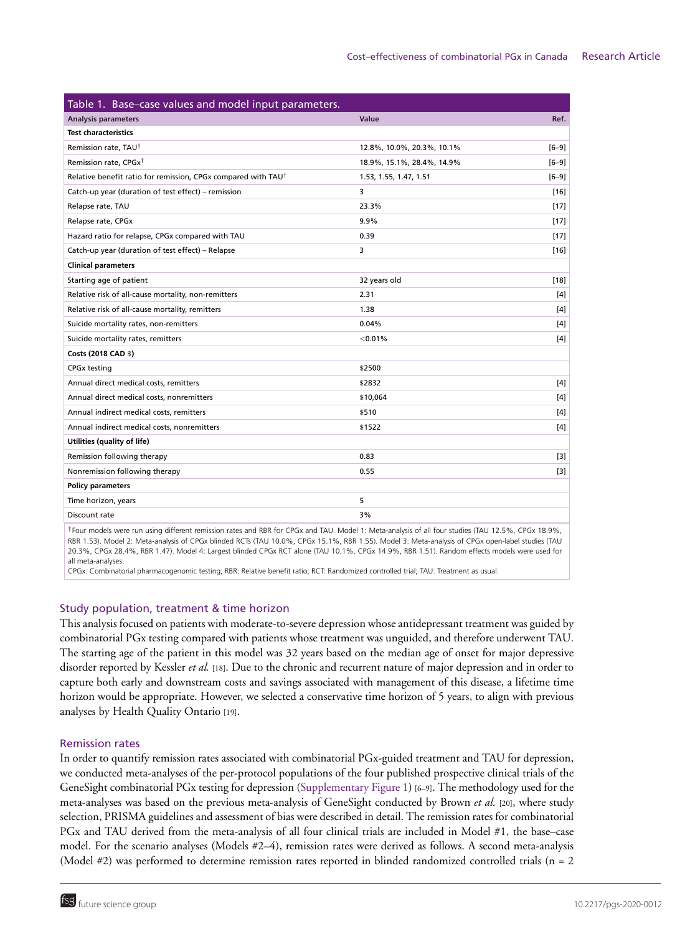| Table 1. Base-case values and model input parameters.                     |                            |           |  |  |  |  |  |  |  |
|---------------------------------------------------------------------------|----------------------------|-----------|--|--|--|--|--|--|--|
| <b>Analysis parameters</b>                                                | <b>Value</b>               | Ref.      |  |  |  |  |  |  |  |
| <b>Test characteristics</b>                                               |                            |           |  |  |  |  |  |  |  |
| Remission rate, TAU <sup>†</sup>                                          | 12.8%, 10.0%, 20.3%, 10.1% | $[6 - 9]$ |  |  |  |  |  |  |  |
| Remission rate, CPGx <sup>†</sup>                                         | 18.9%, 15.1%, 28.4%, 14.9% | $[6-9]$   |  |  |  |  |  |  |  |
| Relative benefit ratio for remission, CPGx compared with TAU <sup>†</sup> | 1.53, 1.55, 1.47, 1.51     | $[6-9]$   |  |  |  |  |  |  |  |
| Catch-up year (duration of test effect) - remission                       | 3                          | $[16]$    |  |  |  |  |  |  |  |
| Relapse rate, TAU                                                         | 23.3%                      | $[17]$    |  |  |  |  |  |  |  |
| Relapse rate, CPGx                                                        | 9.9%                       | $[17]$    |  |  |  |  |  |  |  |
| Hazard ratio for relapse, CPGx compared with TAU                          | 0.39                       | $[17]$    |  |  |  |  |  |  |  |
| Catch-up year (duration of test effect) - Relapse                         | 3                          | $[16]$    |  |  |  |  |  |  |  |
| <b>Clinical parameters</b>                                                |                            |           |  |  |  |  |  |  |  |
| Starting age of patient                                                   | 32 years old               | $[18]$    |  |  |  |  |  |  |  |
| Relative risk of all-cause mortality, non-remitters                       | 2.31                       | $[4]$     |  |  |  |  |  |  |  |
| Relative risk of all-cause mortality, remitters                           | 1.38                       | [4]       |  |  |  |  |  |  |  |
| Suicide mortality rates, non-remitters                                    | 0.04%                      | $[4]$     |  |  |  |  |  |  |  |
| Suicide mortality rates, remitters                                        | $<$ 0.01%                  | $[4]$     |  |  |  |  |  |  |  |
| Costs (2018 CAD \$)                                                       |                            |           |  |  |  |  |  |  |  |
| <b>CPGx testing</b>                                                       | \$2500                     |           |  |  |  |  |  |  |  |
| Annual direct medical costs, remitters                                    | \$2832                     | [4]       |  |  |  |  |  |  |  |
| Annual direct medical costs, nonremitters                                 | \$10,064                   | $[4]$     |  |  |  |  |  |  |  |
| Annual indirect medical costs, remitters                                  | \$510                      | $[4]$     |  |  |  |  |  |  |  |
| Annual indirect medical costs, nonremitters                               | \$1522                     | $[4]$     |  |  |  |  |  |  |  |
| Utilities (quality of life)                                               |                            |           |  |  |  |  |  |  |  |
| Remission following therapy                                               | 0.83                       | $[3]$     |  |  |  |  |  |  |  |
| Nonremission following therapy                                            | 0.55                       | $[3]$     |  |  |  |  |  |  |  |
| <b>Policy parameters</b>                                                  |                            |           |  |  |  |  |  |  |  |
| Time horizon, years                                                       | 5                          |           |  |  |  |  |  |  |  |
| Discount rate                                                             | 3%                         |           |  |  |  |  |  |  |  |
| $\cdots$                                                                  | $\cdots$                   |           |  |  |  |  |  |  |  |

†Four models were run using different remission rates and RBR for CPGx and TAU. Model 1: Meta-analysis of all four studies (TAU 12.5%, CPGx 18.9%, RBR 1.53). Model 2: Meta-analysis of CPGx blinded RCTs (TAU 10.0%, CPGx 15.1%, RBR 1.55). Model 3: Meta-analysis of CPGx open-label studies (TAU 20.3%, CPGx 28.4%, RBR 1.47). Model 4: Largest blinded CPGx RCT alone (TAU 10.1%, CPGx 14.9%, RBR 1.51). Random effects models were used for all meta-analyses.

CPGx: Combinatorial pharmacogenomic testing; RBR: Relative benefit ratio; RCT: Randomized controlled trial; TAU: Treatment as usual.

# Study population, treatment & time horizon

This analysis focused on patients with moderate-to-severe depression whose antidepressant treatment was guided by combinatorial PGx testing compared with patients whose treatment was unguided, and therefore underwent TAU. The starting age of the patient in this model was 32 years based on the median age of onset for major depressive disorder reported by Kessler *et al.* [18]. Due to the chronic and recurrent nature of major depression and in order to capture both early and downstream costs and savings associated with management of this disease, a lifetime time horizon would be appropriate. However, we selected a conservative time horizon of 5 years, to align with previous analyses by Health Quality Ontario [19].

# Remission rates

In order to quantify remission rates associated with combinatorial PGx-guided treatment and TAU for depression, we conducted meta-analyses of the per-protocol populations of the four published prospective clinical trials of the GeneSight combinatorial PGx testing for depression (Supplementary Figure 1) [6–9]. The methodology used for the meta-analyses was based on the previous meta-analysis of GeneSight conducted by Brown *et al.* [20], where study selection, PRISMA guidelines and assessment of bias were described in detail. The remission rates for combinatorial PGx and TAU derived from the meta-analysis of all four clinical trials are included in Model #1, the base–case model. For the scenario analyses (Models #2–4), remission rates were derived as follows. A second meta-analysis (Model #2) was performed to determine remission rates reported in blinded randomized controlled trials (n = 2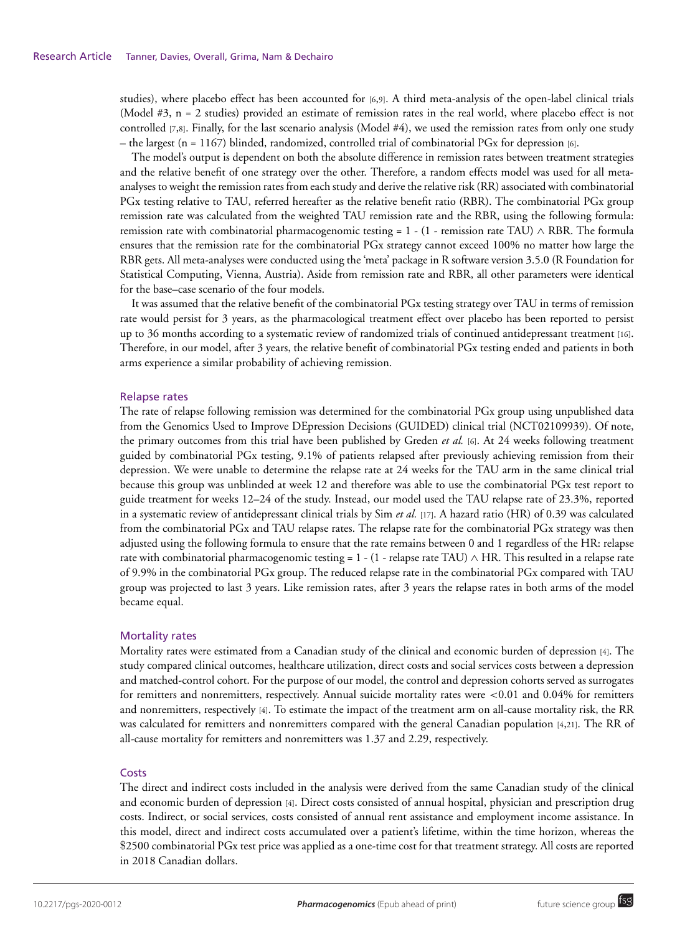studies), where placebo effect has been accounted for [6,9]. A third meta-analysis of the open-label clinical trials (Model #3, n = 2 studies) provided an estimate of remission rates in the real world, where placebo effect is not controlled [7,8]. Finally, for the last scenario analysis (Model #4), we used the remission rates from only one study – the largest (n = 1167) blinded, randomized, controlled trial of combinatorial PGx for depression [6].

The model's output is dependent on both the absolute difference in remission rates between treatment strategies and the relative benefit of one strategy over the other. Therefore, a random effects model was used for all metaanalyses to weight the remission rates from each study and derive the relative risk (RR) associated with combinatorial PGx testing relative to TAU, referred hereafter as the relative benefit ratio (RBR). The combinatorial PGx group remission rate was calculated from the weighted TAU remission rate and the RBR, using the following formula: remission rate with combinatorial pharmacogenomic testing = 1 - (1 - remission rate TAU)  $\land$  RBR. The formula ensures that the remission rate for the combinatorial PGx strategy cannot exceed 100% no matter how large the RBR gets. All meta-analyses were conducted using the 'meta' package in R software version 3.5.0 (R Foundation for Statistical Computing, Vienna, Austria). Aside from remission rate and RBR, all other parameters were identical for the base–case scenario of the four models.

It was assumed that the relative benefit of the combinatorial PGx testing strategy over TAU in terms of remission rate would persist for 3 years, as the pharmacological treatment effect over placebo has been reported to persist up to 36 months according to a systematic review of randomized trials of continued antidepressant treatment [16]. Therefore, in our model, after 3 years, the relative benefit of combinatorial PGx testing ended and patients in both arms experience a similar probability of achieving remission.

## Relapse rates

The rate of relapse following remission was determined for the combinatorial PGx group using unpublished data from the Genomics Used to Improve DEpression Decisions (GUIDED) clinical trial (NCT02109939). Of note, the primary outcomes from this trial have been published by Greden *et al.* [6]. At 24 weeks following treatment guided by combinatorial PGx testing, 9.1% of patients relapsed after previously achieving remission from their depression. We were unable to determine the relapse rate at 24 weeks for the TAU arm in the same clinical trial because this group was unblinded at week 12 and therefore was able to use the combinatorial PGx test report to guide treatment for weeks 12–24 of the study. Instead, our model used the TAU relapse rate of 23.3%, reported in a systematic review of antidepressant clinical trials by Sim *et al.* [17]. A hazard ratio (HR) of 0.39 was calculated from the combinatorial PGx and TAU relapse rates. The relapse rate for the combinatorial PGx strategy was then adjusted using the following formula to ensure that the rate remains between 0 and 1 regardless of the HR: relapse rate with combinatorial pharmacogenomic testing = 1 - (1 - relapse rate TAU)  $\land$  HR. This resulted in a relapse rate of 9.9% in the combinatorial PGx group. The reduced relapse rate in the combinatorial PGx compared with TAU group was projected to last 3 years. Like remission rates, after 3 years the relapse rates in both arms of the model became equal.

## Mortality rates

Mortality rates were estimated from a Canadian study of the clinical and economic burden of depression [4]. The study compared clinical outcomes, healthcare utilization, direct costs and social services costs between a depression and matched-control cohort. For the purpose of our model, the control and depression cohorts served as surrogates for remitters and nonremitters, respectively. Annual suicide mortality rates were <0.01 and 0.04% for remitters and nonremitters, respectively [4]. To estimate the impact of the treatment arm on all-cause mortality risk, the RR was calculated for remitters and nonremitters compared with the general Canadian population [4,21]. The RR of all-cause mortality for remitters and nonremitters was 1.37 and 2.29, respectively.

## **Costs**

The direct and indirect costs included in the analysis were derived from the same Canadian study of the clinical and economic burden of depression [4]. Direct costs consisted of annual hospital, physician and prescription drug costs. Indirect, or social services, costs consisted of annual rent assistance and employment income assistance. In this model, direct and indirect costs accumulated over a patient's lifetime, within the time horizon, whereas the \$2500 combinatorial PGx test price was applied as a one-time cost for that treatment strategy. All costs are reported in 2018 Canadian dollars.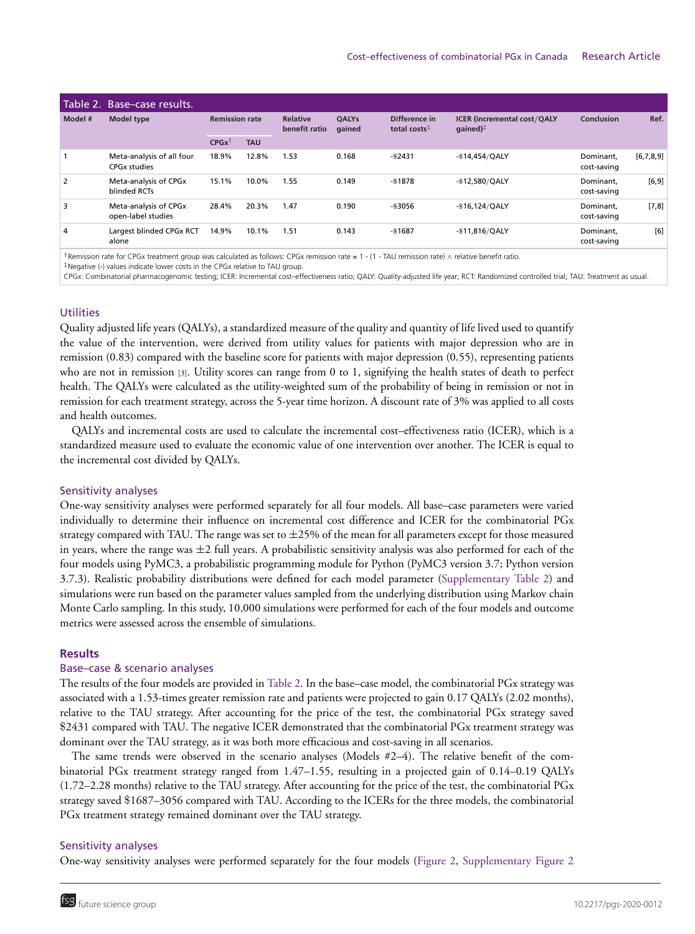| Table 2. Base-case results. |                                                       |                       |            |                                  |                        |                                           |                                                                                   |                          |           |  |  |
|-----------------------------|-------------------------------------------------------|-----------------------|------------|----------------------------------|------------------------|-------------------------------------------|-----------------------------------------------------------------------------------|--------------------------|-----------|--|--|
| Model #                     | <b>Model type</b>                                     | <b>Remission rate</b> |            | <b>Relative</b><br>benefit ratio | <b>OALYs</b><br>qained | Difference in<br>total costs <sup>‡</sup> | <b>ICER (incremental cost/QALY</b><br>$q$ ained) <sup><math>\ddagger</math></sup> | Conclusion               | Ref.      |  |  |
|                             |                                                       | $CPGx^{\dagger}$      | <b>TAU</b> |                                  |                        |                                           |                                                                                   |                          |           |  |  |
|                             | Meta-analysis of all four<br>CPG <sub>x</sub> studies | 18.9%                 | 12.8%      | 1.53                             | 0.168                  | $-$ \$2431                                | $-$ \$14,454/QALY                                                                 | Dominant.<br>cost-saving | [6,7,8,9] |  |  |
| $\overline{2}$              | Meta-analysis of CPGx<br>blinded RCTs                 | 15.1%                 | 10.0%      | 1.55                             | 0.149                  | $-$ \$1878                                | $-$ \$12,580/QALY                                                                 | Dominant.<br>cost-saving | [6, 9]    |  |  |
| 3                           | Meta-analysis of CPGx<br>open-label studies           | 28.4%                 | 20.3%      | 1.47                             | 0.190                  | -\$3056                                   | $-$ \$16,124/QALY                                                                 | Dominant.<br>cost-saving | [7,8]     |  |  |
| 4                           | Largest blinded CPGx RCT<br>alone                     | 14.9%                 | 10.1%      | 1.51                             | 0.143                  | $-$ \$1687                                | $-$ \$11,816/QALY                                                                 | Dominant.<br>cost-saving | [6]       |  |  |

†Remission rate for CPGx treatment group was calculated as follows: CPGx remission rate <sup>=</sup> 1 - (1 - TAU remission rate) <sup>∧</sup> relative benefit ratio.

‡Negative (-) values indicate lower costs in the CPGx relative to TAU group.

CPGx: Combinatorial pharmacogenomic testing; ICER: Incremental cost–effectiveness ratio; QALY: Quality-adjusted life year; RCT: Randomized controlled trial; TAU: Treatment as usual.

# **Utilities**

Quality adjusted life years (QALYs), a standardized measure of the quality and quantity of life lived used to quantify the value of the intervention, were derived from utility values for patients with major depression who are in remission (0.83) compared with the baseline score for patients with major depression (0.55), representing patients who are not in remission [3]. Utility scores can range from 0 to 1, signifying the health states of death to perfect health. The QALYs were calculated as the utility-weighted sum of the probability of being in remission or not in remission for each treatment strategy, across the 5-year time horizon. A discount rate of 3% was applied to all costs and health outcomes.

QALYs and incremental costs are used to calculate the incremental cost–effectiveness ratio (ICER), which is a standardized measure used to evaluate the economic value of one intervention over another. The ICER is equal to the incremental cost divided by QALYs.

#### Sensitivity analyses

One-way sensitivity analyses were performed separately for all four models. All base–case parameters were varied individually to determine their influence on incremental cost difference and ICER for the combinatorial PGx strategy compared with TAU. The range was set to  $\pm 25\%$  of the mean for all parameters except for those measured in years, where the range was  $\pm 2$  full years. A probabilistic sensitivity analysis was also performed for each of the four models using PyMC3, a probabilistic programming module for Python (PyMC3 version 3.7; Python version 3.7.3). Realistic probability distributions were defined for each model parameter (Supplementary Table 2) and simulations were run based on the parameter values sampled from the underlying distribution using Markov chain Monte Carlo sampling. In this study, 10,000 simulations were performed for each of the four models and outcome metrics were assessed across the ensemble of simulations.

#### **Results**

## Base–case & scenario analyses

The results of the four models are provided in Table 2. In the base–case model, the combinatorial PGx strategy was associated with a 1.53-times greater remission rate and patients were projected to gain 0.17 QALYs (2.02 months), relative to the TAU strategy. After accounting for the price of the test, the combinatorial PGx strategy saved \$2431 compared with TAU. The negative ICER demonstrated that the combinatorial PGx treatment strategy was dominant over the TAU strategy, as it was both more efficacious and cost-saving in all scenarios.

The same trends were observed in the scenario analyses (Models #2–4). The relative benefit of the combinatorial PGx treatment strategy ranged from 1.47–1.55, resulting in a projected gain of 0.14–0.19 QALYs (1.72–2.28 months) relative to the TAU strategy. After accounting for the price of the test, the combinatorial PGx strategy saved \$1687–3056 compared with TAU. According to the ICERs for the three models, the combinatorial PGx treatment strategy remained dominant over the TAU strategy.

## Sensitivity analyses

One-way sensitivity analyses were performed separately for the four models (Figure 2, Supplementary Figure 2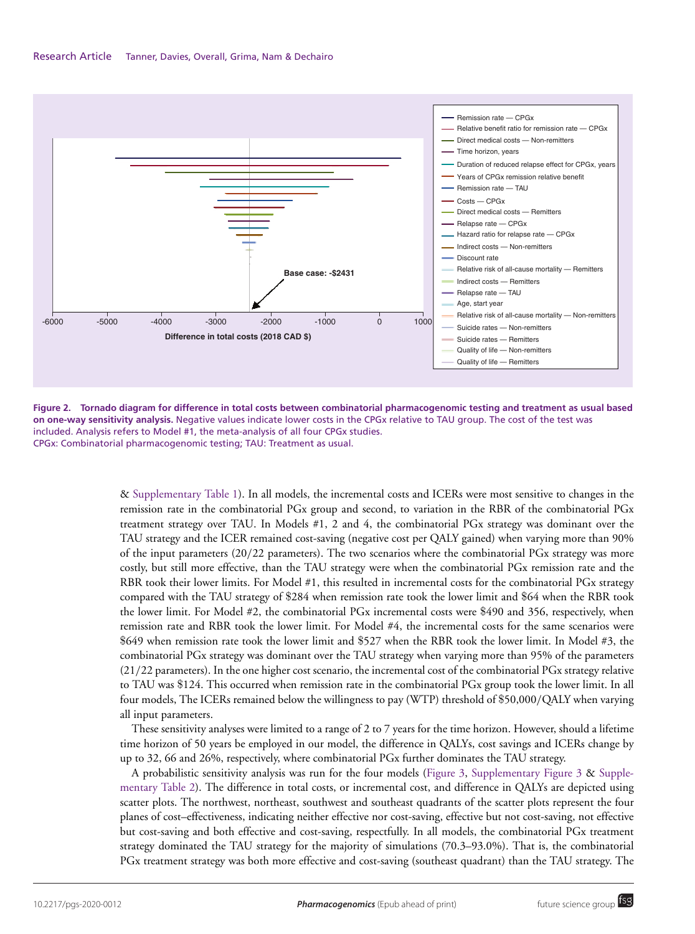

**Figure 2. Tornado diagram for difference in total costs between combinatorial pharmacogenomic testing and treatment as usual based on one-way sensitivity analysis.** Negative values indicate lower costs in the CPGx relative to TAU group. The cost of the test was included. Analysis refers to Model #1, the meta-analysis of all four CPGx studies. CPGx: Combinatorial pharmacogenomic testing; TAU: Treatment as usual.

& Supplementary Table 1). In all models, the incremental costs and ICERs were most sensitive to changes in the remission rate in the combinatorial PGx group and second, to variation in the RBR of the combinatorial PGx treatment strategy over TAU. In Models #1, 2 and 4, the combinatorial PGx strategy was dominant over the TAU strategy and the ICER remained cost-saving (negative cost per QALY gained) when varying more than 90% of the input parameters (20/22 parameters). The two scenarios where the combinatorial PGx strategy was more costly, but still more effective, than the TAU strategy were when the combinatorial PGx remission rate and the RBR took their lower limits. For Model #1, this resulted in incremental costs for the combinatorial PGx strategy compared with the TAU strategy of \$284 when remission rate took the lower limit and \$64 when the RBR took the lower limit. For Model #2, the combinatorial PGx incremental costs were \$490 and 356, respectively, when remission rate and RBR took the lower limit. For Model #4, the incremental costs for the same scenarios were \$649 when remission rate took the lower limit and \$527 when the RBR took the lower limit. In Model #3, the combinatorial PGx strategy was dominant over the TAU strategy when varying more than 95% of the parameters (21/22 parameters). In the one higher cost scenario, the incremental cost of the combinatorial PGx strategy relative to TAU was \$124. This occurred when remission rate in the combinatorial PGx group took the lower limit. In all four models, The ICERs remained below the willingness to pay (WTP) threshold of \$50,000/QALY when varying all input parameters.

These sensitivity analyses were limited to a range of 2 to 7 years for the time horizon. However, should a lifetime time horizon of 50 years be employed in our model, the difference in QALYs, cost savings and ICERs change by up to 32, 66 and 26%, respectively, where combinatorial PGx further dominates the TAU strategy.

A probabilistic sensitivity analysis was run for the four models (Figure 3, Supplementary Figure 3 & Supplementary Table 2). The difference in total costs, or incremental cost, and difference in QALYs are depicted using scatter plots. The northwest, northeast, southwest and southeast quadrants of the scatter plots represent the four planes of cost–effectiveness, indicating neither effective nor cost-saving, effective but not cost-saving, not effective but cost-saving and both effective and cost-saving, respectfully. In all models, the combinatorial PGx treatment strategy dominated the TAU strategy for the majority of simulations (70.3–93.0%). That is, the combinatorial PGx treatment strategy was both more effective and cost-saving (southeast quadrant) than the TAU strategy. The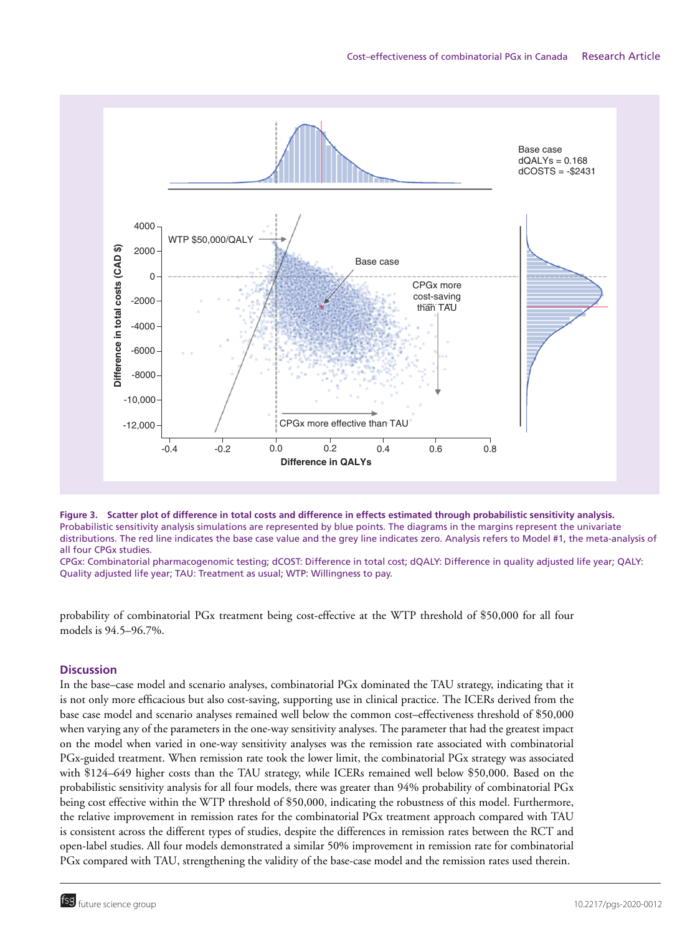

**Figure 3. Scatter plot of difference in total costs and difference in effects estimated through probabilistic sensitivity analysis.** Probabilistic sensitivity analysis simulations are represented by blue points. The diagrams in the margins represent the univariate distributions. The red line indicates the base case value and the grey line indicates zero. Analysis refers to Model #1, the meta-analysis of all four CPGx studies.

CPGx: Combinatorial pharmacogenomic testing; dCOST: Difference in total cost; dQALY: Difference in quality adjusted life year; QALY: Quality adjusted life year; TAU: Treatment as usual; WTP: Willingness to pay.

probability of combinatorial PGx treatment being cost-effective at the WTP threshold of \$50,000 for all four models is 94.5–96.7%.

# **Discussion**

In the base–case model and scenario analyses, combinatorial PGx dominated the TAU strategy, indicating that it is not only more efficacious but also cost-saving, supporting use in clinical practice. The ICERs derived from the base case model and scenario analyses remained well below the common cost–effectiveness threshold of \$50,000 when varying any of the parameters in the one-way sensitivity analyses. The parameter that had the greatest impact on the model when varied in one-way sensitivity analyses was the remission rate associated with combinatorial PGx-guided treatment. When remission rate took the lower limit, the combinatorial PGx strategy was associated with \$124–649 higher costs than the TAU strategy, while ICERs remained well below \$50,000. Based on the probabilistic sensitivity analysis for all four models, there was greater than 94% probability of combinatorial PGx being cost effective within the WTP threshold of \$50,000, indicating the robustness of this model. Furthermore, the relative improvement in remission rates for the combinatorial PGx treatment approach compared with TAU is consistent across the different types of studies, despite the differences in remission rates between the RCT and open-label studies. All four models demonstrated a similar 50% improvement in remission rate for combinatorial PGx compared with TAU, strengthening the validity of the base-case model and the remission rates used therein.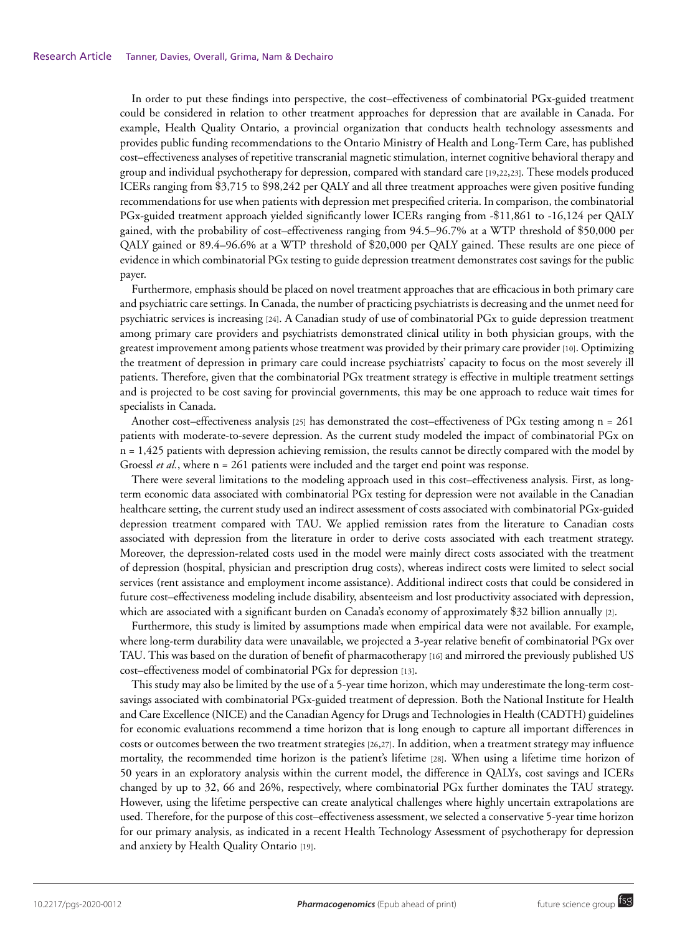In order to put these findings into perspective, the cost–effectiveness of combinatorial PGx-guided treatment could be considered in relation to other treatment approaches for depression that are available in Canada. For example, Health Quality Ontario, a provincial organization that conducts health technology assessments and provides public funding recommendations to the Ontario Ministry of Health and Long-Term Care, has published cost–effectiveness analyses of repetitive transcranial magnetic stimulation, internet cognitive behavioral therapy and group and individual psychotherapy for depression, compared with standard care [19,22,23]. These models produced ICERs ranging from \$3,715 to \$98,242 per QALY and all three treatment approaches were given positive funding recommendations for use when patients with depression met prespecified criteria. In comparison, the combinatorial PGx-guided treatment approach yielded significantly lower ICERs ranging from -\$11,861 to -16,124 per QALY gained, with the probability of cost–effectiveness ranging from 94.5–96.7% at a WTP threshold of \$50,000 per QALY gained or 89.4–96.6% at a WTP threshold of \$20,000 per QALY gained. These results are one piece of evidence in which combinatorial PGx testing to guide depression treatment demonstrates cost savings for the public payer.

Furthermore, emphasis should be placed on novel treatment approaches that are efficacious in both primary care and psychiatric care settings. In Canada, the number of practicing psychiatrists is decreasing and the unmet need for psychiatric services is increasing [24]. A Canadian study of use of combinatorial PGx to guide depression treatment among primary care providers and psychiatrists demonstrated clinical utility in both physician groups, with the greatest improvement among patients whose treatment was provided by their primary care provider [10]. Optimizing the treatment of depression in primary care could increase psychiatrists' capacity to focus on the most severely ill patients. Therefore, given that the combinatorial PGx treatment strategy is effective in multiple treatment settings and is projected to be cost saving for provincial governments, this may be one approach to reduce wait times for specialists in Canada.

Another cost–effectiveness analysis [25] has demonstrated the cost–effectiveness of PGx testing among n = 261 patients with moderate-to-severe depression. As the current study modeled the impact of combinatorial PGx on  $n = 1,425$  patients with depression achieving remission, the results cannot be directly compared with the model by Groessl *et al.*, where n = 261 patients were included and the target end point was response.

There were several limitations to the modeling approach used in this cost–effectiveness analysis. First, as longterm economic data associated with combinatorial PGx testing for depression were not available in the Canadian healthcare setting, the current study used an indirect assessment of costs associated with combinatorial PGx-guided depression treatment compared with TAU. We applied remission rates from the literature to Canadian costs associated with depression from the literature in order to derive costs associated with each treatment strategy. Moreover, the depression-related costs used in the model were mainly direct costs associated with the treatment of depression (hospital, physician and prescription drug costs), whereas indirect costs were limited to select social services (rent assistance and employment income assistance). Additional indirect costs that could be considered in future cost–effectiveness modeling include disability, absenteeism and lost productivity associated with depression, which are associated with a significant burden on Canada's economy of approximately \$32 billion annually [2].

Furthermore, this study is limited by assumptions made when empirical data were not available. For example, where long-term durability data were unavailable, we projected a 3-year relative benefit of combinatorial PGx over TAU. This was based on the duration of benefit of pharmacotherapy [16] and mirrored the previously published US cost–effectiveness model of combinatorial PGx for depression [13].

This study may also be limited by the use of a 5-year time horizon, which may underestimate the long-term costsavings associated with combinatorial PGx-guided treatment of depression. Both the National Institute for Health and Care Excellence (NICE) and the Canadian Agency for Drugs and Technologies in Health (CADTH) guidelines for economic evaluations recommend a time horizon that is long enough to capture all important differences in costs or outcomes between the two treatment strategies [26,27]. In addition, when a treatment strategy may influence mortality, the recommended time horizon is the patient's lifetime [28]. When using a lifetime time horizon of 50 years in an exploratory analysis within the current model, the difference in QALYs, cost savings and ICERs changed by up to 32, 66 and 26%, respectively, where combinatorial PGx further dominates the TAU strategy. However, using the lifetime perspective can create analytical challenges where highly uncertain extrapolations are used. Therefore, for the purpose of this cost–effectiveness assessment, we selected a conservative 5-year time horizon for our primary analysis, as indicated in a recent Health Technology Assessment of psychotherapy for depression and anxiety by Health Quality Ontario [19].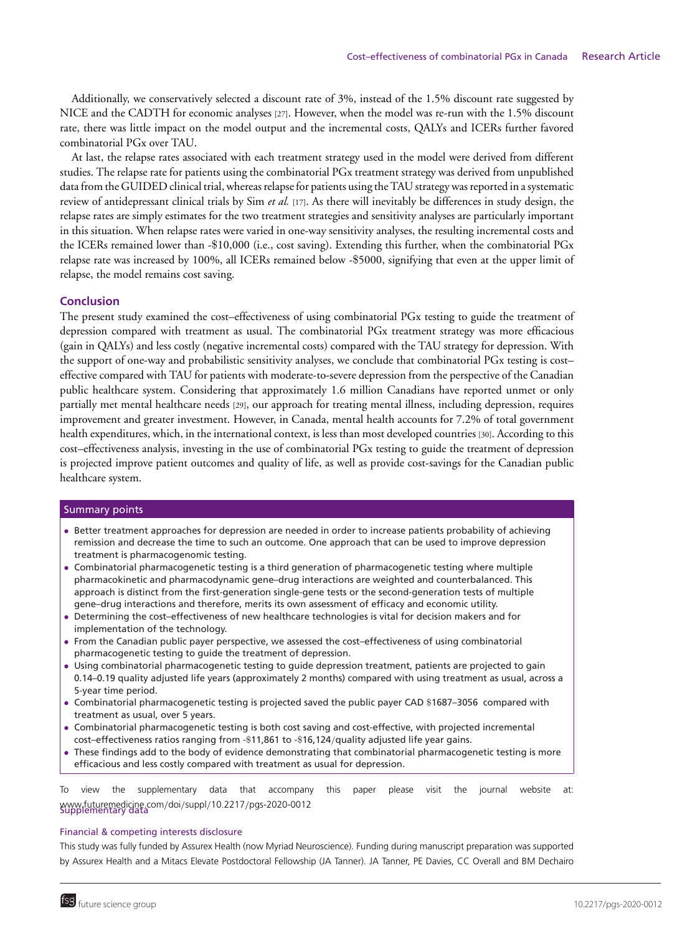Additionally, we conservatively selected a discount rate of 3%, instead of the 1.5% discount rate suggested by NICE and the CADTH for economic analyses [27]. However, when the model was re-run with the 1.5% discount rate, there was little impact on the model output and the incremental costs, QALYs and ICERs further favored combinatorial PGx over TAU.

At last, the relapse rates associated with each treatment strategy used in the model were derived from different studies. The relapse rate for patients using the combinatorial PGx treatment strategy was derived from unpublished data from the GUIDED clinical trial, whereas relapse for patients using the TAU strategy was reported in a systematic review of antidepressant clinical trials by Sim *et al.* [17]. As there will inevitably be differences in study design, the relapse rates are simply estimates for the two treatment strategies and sensitivity analyses are particularly important in this situation. When relapse rates were varied in one-way sensitivity analyses, the resulting incremental costs and the ICERs remained lower than -\$10,000 (i.e., cost saving). Extending this further, when the combinatorial PGx relapse rate was increased by 100%, all ICERs remained below -\$5000, signifying that even at the upper limit of relapse, the model remains cost saving.

## **Conclusion**

The present study examined the cost–effectiveness of using combinatorial PGx testing to guide the treatment of depression compared with treatment as usual. The combinatorial PGx treatment strategy was more efficacious (gain in QALYs) and less costly (negative incremental costs) compared with the TAU strategy for depression. With the support of one-way and probabilistic sensitivity analyses, we conclude that combinatorial PGx testing is cost– effective compared with TAU for patients with moderate-to-severe depression from the perspective of the Canadian public healthcare system. Considering that approximately 1.6 million Canadians have reported unmet or only partially met mental healthcare needs [29], our approach for treating mental illness, including depression, requires improvement and greater investment. However, in Canada, mental health accounts for 7.2% of total government health expenditures, which, in the international context, is less than most developed countries [30]. According to this cost–effectiveness analysis, investing in the use of combinatorial PGx testing to guide the treatment of depression is projected improve patient outcomes and quality of life, as well as provide cost-savings for the Canadian public healthcare system.

#### Summary points

- Better treatment approaches for depression are needed in order to increase patients probability of achieving remission and decrease the time to such an outcome. One approach that can be used to improve depression treatment is pharmacogenomic testing.
- Combinatorial pharmacogenetic testing is a third generation of pharmacogenetic testing where multiple pharmacokinetic and pharmacodynamic gene–drug interactions are weighted and counterbalanced. This approach is distinct from the first-generation single-gene tests or the second-generation tests of multiple gene–drug interactions and therefore, merits its own assessment of efficacy and economic utility.
- Determining the cost–effectiveness of new healthcare technologies is vital for decision makers and for implementation of the technology.
- From the Canadian public payer perspective, we assessed the cost–effectiveness of using combinatorial pharmacogenetic testing to guide the treatment of depression.
- Using combinatorial pharmacogenetic testing to guide depression treatment, patients are projected to gain 0.14–0.19 quality adjusted life years (approximately 2 months) compared with using treatment as usual, across a 5-year time period.
- Combinatorial pharmacogenetic testing is projected saved the public payer CAD \$1687–3056 compared with treatment as usual, over 5 years.
- Combinatorial pharmacogenetic testing is both cost saving and cost-effective, with projected incremental cost–effectiveness ratios ranging from -\$11,861 to -\$16,124/quality adjusted life year gains.
- These findings add to the body of evidence demonstrating that combinatorial pharmacogenetic testing is more efficacious and less costly compared with treatment as usual for depression.

www.futuremedicine.com/doi/suppl/10.2217/pgs-2020-0012<br>Supplementary data To view the supplementary data that accompany this paper please visit the journal website at:

#### Financial & competing interests disclosure

This study was fully funded by Assurex Health (now Myriad Neuroscience). Funding during manuscript preparation was supported by Assurex Health and a Mitacs Elevate Postdoctoral Fellowship (JA Tanner). JA Tanner, PE Davies, CC Overall and BM Dechairo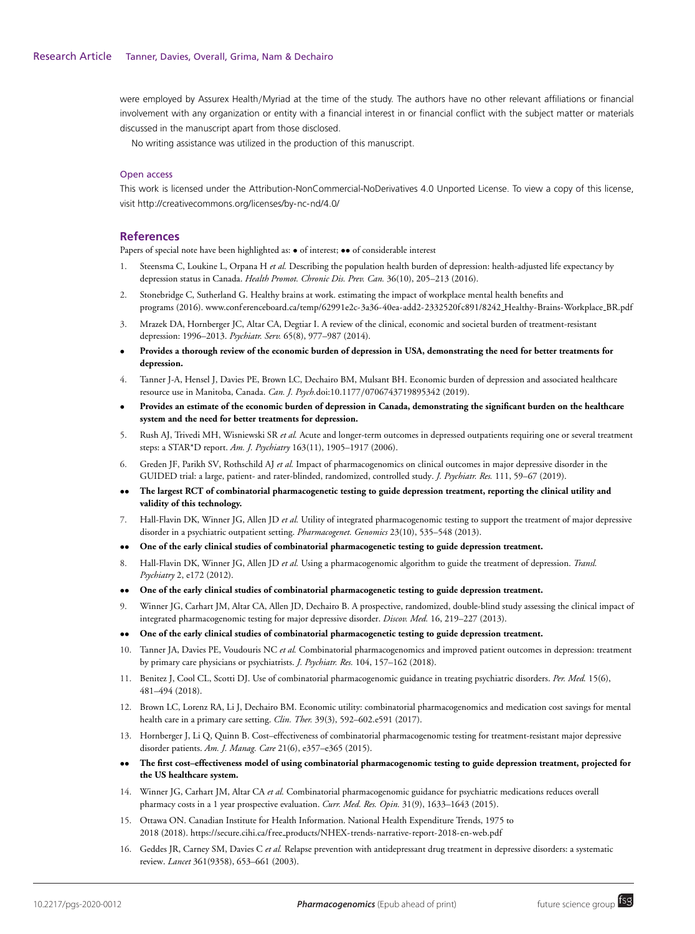were employed by Assurex Health/Myriad at the time of the study. The authors have no other relevant affiliations or financial involvement with any organization or entity with a financial interest in or financial conflict with the subject matter or materials discussed in the manuscript apart from those disclosed.

No writing assistance was utilized in the production of this manuscript.

#### Open access

This work is licensed under the Attribution-NonCommercial-NoDerivatives 4.0 Unported License. To view a copy of this license, visit<http://creativecommons.org/licenses/by-nc-nd/4.0/>

## **References**

Papers of special note have been highlighted as:  $\bullet$  of interest;  $\bullet\bullet$  of considerable interest

- 1. Steensma C, Loukine L, Orpana H *et al.* Describing the population health burden of depression: health-adjusted life expectancy by depression status in Canada. *Health Promot. Chronic Dis. Prev. Can.* 36(10), 205–213 (2016).
- 2. Stonebridge C, Sutherland G. Healthy brains at work. estimating the impact of workplace mental health benefits and programs (2016). [www.conf erenceboard.ca/temp/62991e2c-3a36-40ea-add2-2332520f c891/8242](https://www.conferenceboard.ca/temp/62991e2c-3a36-40ea-add2-2332520fc891/8242_Healthy-Brains-Workplace_BR.pdf) Healthy-Brains-Workplace BR.pdf
- 3. Mrazek DA, Hornberger JC, Altar CA, Degtiar I. A review of the clinical, economic and societal burden of treatment-resistant depression: 1996–2013. *Psychiatr. Serv.* 65(8), 977–987 (2014).
- **Provides a thorough review of the economic burden of depression in USA, demonstrating the need for better treatments for depression.**
- 4. Tanner J-A, Hensel J, Davies PE, Brown LC, Dechairo BM, Mulsant BH. Economic burden of depression and associated healthcare resource use in Manitoba, Canada. *Can. J. Psych.*doi:10.1177/0706743719895342 (2019).
- **Provides an estimate of the economic burden of depression in Canada, demonstrating the significant burden on the healthcare system and the need for better treatments for depression.**
- 5. Rush AJ, Trivedi MH, Wisniewski SR *et al.* Acute and longer-term outcomes in depressed outpatients requiring one or several treatment steps: a STAR\*D report. *Am. J. Psychiatry* 163(11), 1905–1917 (2006).
- 6. Greden JF, Parikh SV, Rothschild AJ *et al.* Impact of pharmacogenomics on clinical outcomes in major depressive disorder in the GUIDED trial: a large, patient- and rater-blinded, randomized, controlled study. *J. Psychiatr. Res.* 111, 59–67 (2019).
- •• **The largest RCT of combinatorial pharmacogenetic testing to guide depression treatment, reporting the clinical utility and validity of this technology.**
- 7. Hall-Flavin DK, Winner JG, Allen JD *et al.* Utility of integrated pharmacogenomic testing to support the treatment of major depressive disorder in a psychiatric outpatient setting. *Pharmacogenet. Genomics* 23(10), 535–548 (2013).
- •• **One of the early clinical studies of combinatorial pharmacogenetic testing to guide depression treatment.**
- 8. Hall-Flavin DK, Winner JG, Allen JD *et al.* Using a pharmacogenomic algorithm to guide the treatment of depression. *Transl. Psychiatry* 2, e172 (2012).
- •• **One of the early clinical studies of combinatorial pharmacogenetic testing to guide depression treatment.**
- 9. Winner JG, Carhart JM, Altar CA, Allen JD, Dechairo B. A prospective, randomized, double-blind study assessing the clinical impact of integrated pharmacogenomic testing for major depressive disorder. *Discov. Med.* 16, 219–227 (2013).
- •• **One of the early clinical studies of combinatorial pharmacogenetic testing to guide depression treatment.**
- 10. Tanner JA, Davies PE, Voudouris NC *et al.* Combinatorial pharmacogenomics and improved patient outcomes in depression: treatment by primary care physicians or psychiatrists. *J. Psychiatr. Res.* 104, 157–162 (2018).
- 11. Benitez J, Cool CL, Scotti DJ. Use of combinatorial pharmacogenomic guidance in treating psychiatric disorders. *Per. Med.* 15(6), 481–494 (2018).
- 12. Brown LC, Lorenz RA, Li J, Dechairo BM. Economic utility: combinatorial pharmacogenomics and medication cost savings for mental health care in a primary care setting. *Clin. Ther.* 39(3), 592–602.e591 (2017).
- 13. Hornberger J, Li Q, Quinn B. Cost–effectiveness of combinatorial pharmacogenomic testing for treatment-resistant major depressive disorder patients. *Am. J. Manag. Care* 21(6), e357–e365 (2015).
- •• **The first cost–effectiveness model of using combinatorial pharmacogenomic testing to guide depression treatment, projected for the US healthcare system.**
- 14. Winner JG, Carhart JM, Altar CA *et al.* Combinatorial pharmacogenomic guidance for psychiatric medications reduces overall pharmacy costs in a 1 year prospective evaluation. *Curr. Med. Res. Opin.* 31(9), 1633–1643 (2015).
- 15. Ottawa ON. Canadian Institute for Health Information. National Health Expenditure Trends, 1975 to 2018 (2018). https://secure.cihi.ca/f ree [products/NHEX-trends-narrative-report-2018-en-web.pdf](https://www.secure.cihi.ca/free_products/NHEX-trends-narrative-report-2018-en-web.pdf)
- 16. Geddes JR, Carney SM, Davies C *et al.* Relapse prevention with antidepressant drug treatment in depressive disorders: a systematic review. *Lancet* 361(9358), 653–661 (2003).